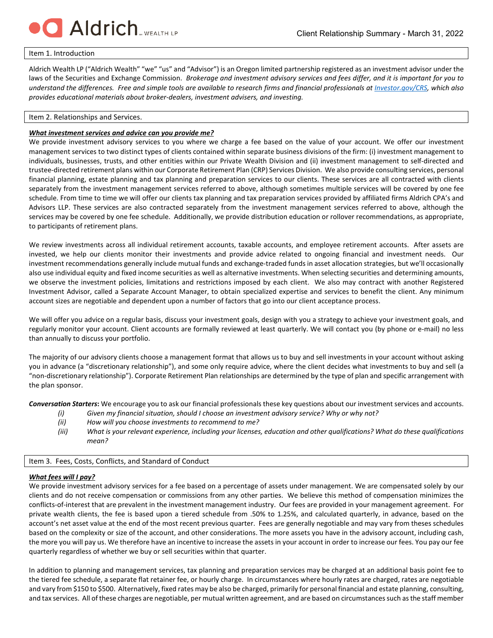

#### Item 1. Introduction

Aldrich Wealth LP ("Aldrich Wealth" "we" "us" and "Advisor") is an Oregon limited partnership registered as an investment advisor under the laws of the Securities and Exchange Commission. *Brokerage and investment advisory services and fees differ, and it is important for you to understand the differences. Free and simple tools are available to research firms and financial professionals a[t Investor.gov/CRS,](https://www.investor.gov/CRS) which also provides educational materials about broker-dealers, investment advisers, and investing.*

### Item 2. Relationships and Services.

### *What investment services and advice can you provide me?*

We provide investment advisory services to you where we charge a fee based on the value of your account. We offer our investment management services to two distinct types of clients contained within separate business divisions of the firm: (i) investment management to individuals, businesses, trusts, and other entities within our Private Wealth Division and (ii) investment management to self-directed and trustee-directed retirement plans within our Corporate Retirement Plan (CRP) Services Division. We also provide consulting services, personal financial planning, estate planning and tax planning and preparation services to our clients. These services are all contracted with clients separately from the investment management services referred to above, although sometimes multiple services will be covered by one fee schedule. From time to time we will offer our clients tax planning and tax preparation services provided by affiliated firms Aldrich CPA's and Advisors LLP. These services are also contracted separately from the investment management services referred to above, although the services may be covered by one fee schedule. Additionally, we provide distribution education or rollover recommendations, as appropriate, to participants of retirement plans.

We review investments across all individual retirement accounts, taxable accounts, and employee retirement accounts. After assets are invested, we help our clients monitor their investments and provide advice related to ongoing financial and investment needs. Our investment recommendations generally include mutual funds and exchange-traded funds in asset allocation strategies, but we'll occasionally also use individual equity and fixed income securities as well as alternative investments. When selecting securities and determining amounts, we observe the investment policies, limitations and restrictions imposed by each client. We also may contract with another Registered Investment Advisor, called a Separate Account Manager, to obtain specialized expertise and services to benefit the client. Any minimum account sizes are negotiable and dependent upon a number of factors that go into our client acceptance process.

We will offer you advice on a regular basis, discuss your investment goals, design with you a strategy to achieve your investment goals, and regularly monitor your account. Client accounts are formally reviewed at least quarterly. We will contact you (by phone or e-mail) no less than annually to discuss your portfolio.

The majority of our advisory clients choose a management format that allows us to buy and sell investments in your account without asking you in advance (a "discretionary relationship"), and some only require advice, where the client decides what investments to buy and sell (a "non-discretionary relationship"). Corporate Retirement Plan relationships are determined by the type of plan and specific arrangement with the plan sponsor.

*Conversation Starters***:** We encourage you to ask our financial professionals these key questions about our investment services and accounts.

- *(i) Given my financial situation, should I choose an investment advisory service? Why or why not?*
- *(ii) How will you choose investments to recommend to me?*
- *(iii) What is your relevant experience, including your licenses, education and other qualifications? What do these qualifications mean?*

| Item 3. Fees, Costs, Conflicts, and Standard of Conduct |  |  |  |  |  |  |
|---------------------------------------------------------|--|--|--|--|--|--|
|---------------------------------------------------------|--|--|--|--|--|--|

### *What fees will I pay?*

We provide investment advisory services for a fee based on a percentage of assets under management. We are compensated solely by our clients and do not receive compensation or commissions from any other parties. We believe this method of compensation minimizes the conflicts-of-interest that are prevalent in the investment management industry. Our fees are provided in your management agreement. For private wealth clients, the fee is based upon a tiered schedule from .50% to 1.25%, and calculated quarterly, in advance, based on the account's net asset value at the end of the most recent previous quarter. Fees are generally negotiable and may vary from theses schedules based on the complexity or size of the account, and other considerations. The more assets you have in the advisory account, including cash, the more you will pay us. We therefore have an incentive to increase the assets in your account in order to increase our fees. You pay our fee quarterly regardless of whether we buy or sell securities within that quarter.

In addition to planning and management services, tax planning and preparation services may be charged at an additional basis point fee to the tiered fee schedule, a separate flat retainer fee, or hourly charge. In circumstances where hourly rates are charged, rates are negotiable and vary from \$150 to \$500. Alternatively, fixed rates may be also be charged, primarily for personal financial and estate planning, consulting, and tax services. All of these charges are negotiable, per mutual written agreement, and are based on circumstances such as the staff member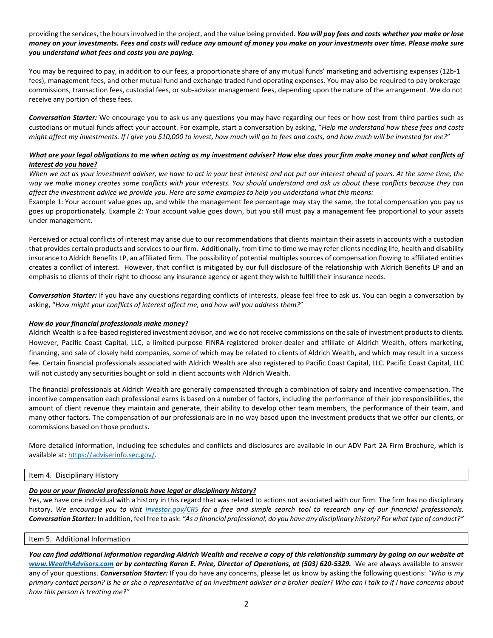## providing the services, the hours involved in the project, and the value being provided. *You will pay fees and costs whether you make or lose money on your investments. Fees and costs will reduce any amount of money you make on your investments over time. Please make sure you understand what fees and costs you are paying.*

You may be required to pay, in addition to our fees, a proportionate share of any mutual funds' marketing and advertising expenses (12b-1 fees), management fees, and other mutual fund and exchange traded fund operating expenses. You may also be required to pay brokerage commissions, transaction fees, custodial fees, or sub-advisor management fees, depending upon the nature of the arrangement. We do not receive any portion of these fees.

*Conversation Starter:* We encourage you to ask us any questions you may have regarding our fees or how cost from third parties such as custodians or mutual funds affect your account. For example, start a conversation by asking, "*Help me understand how these fees and costs might affect my investments. If I give you \$10,000 to invest, how much will go to fees and costs, and how much will be invested for me?*"

# *What are your legal obligations to me when acting as my investment adviser? How else does your firm make money and what conflicts of interest do you have?*

*When we act as your investment adviser, we have to act in your best interest and not put our interest ahead of yours. At the same time, the way we make money creates some conflicts with your interests. You should understand and ask us about these conflicts because they can affect the investment advice we provide you. Here are some examples to help you understand what this means:*

Example 1: Your account value goes up, and while the management fee percentage may stay the same, the total compensation you pay us goes up proportionately. Example 2: Your account value goes down, but you still must pay a management fee proportional to your assets under management.

Perceived or actual conflicts of interest may arise due to our recommendations that clients maintain their assets in accounts with a custodian that provides certain products and services to our firm. Additionally, from time to time we may refer clients needing life, health and disability insurance to Aldrich Benefits LP, an affiliated firm. The possibility of potential multiples sources of compensation flowing to affiliated entities creates a conflict of interest. However, that conflict is mitigated by our full disclosure of the relationship with Aldrich Benefits LP and an emphasis to clients of their right to choose any insurance agency or agent they wish to fulfill their insurance needs.

*Conversation Starter:* If you have any questions regarding conflicts of interests, please feel free to ask us. You can begin a conversation by asking, "*How might your conflicts of interest affect me, and how will you address them?*"

## *How do your financial professionals make money?*

Aldrich Wealth is a fee-based registered investment advisor, and we do not receive commissions on the sale of investment products to clients. However, Pacific Coast Capital, LLC, a limited-purpose FINRA-registered broker-dealer and affiliate of Aldrich Wealth, offers marketing, financing, and sale of closely held companies, some of which may be related to clients of Aldrich Wealth, and which may result in a success fee. Certain financial professionals associated with Aldrich Wealth are also registered to Pacific Coast Capital, LLC. Pacific Coast Capital, LLC will not custody any securities bought or sold in client accounts with Aldrich Wealth.

The financial professionals at Aldrich Wealth are generally compensated through a combination of salary and incentive compensation. The incentive compensation each professional earns is based on a number of factors, including the performance of their job responsibilities, the amount of client revenue they maintain and generate, their ability to develop other team members, the performance of their team, and many other factors. The compensation of our professionals are in no way based upon the investment products that we offer our clients, or commissions based on those products.

More detailed information, including fee schedules and conflicts and disclosures are available in our ADV Part 2A Firm Brochure, which is available at: [https://adviserinfo.sec.gov/.](https://adviserinfo.sec.gov/firm/summary/147200) 

## Item 4. Disciplinary History

# *Do you or your financial professionals have legal or disciplinary history?*

Yes, we have one individual with a history in this regard that was related to actions not associated with our firm. The firm has no disciplinary history. *We encourage you to visit [Investor.gov/CRS](https://www.investor.gov/CRS) for a free and simple search tool to research any of our financial professionals. Conversation Starter:* In addition, feel free to ask: *"As a financial professional, do you have any disciplinary history? For what type of conduct?"*

## Item 5. Additional Information

*You can find additional information regarding Aldrich Wealth and receive a copy of this relationship summary by going on our website at [www.WealthAdvisors.com](http://www.wealthadvisors.com/) or by contacting Karen E. Price, Director of Operations, at (503) 620-5329.* We are always available to answer any of your questions. *Conversation Starter:* If you do have any concerns, please let us know by asking the following questions: *"Who is my primary contact person? Is he or she a representative of an investment adviser or a broker-dealer? Who can I talk to if I have concerns about how this person is treating me?"*